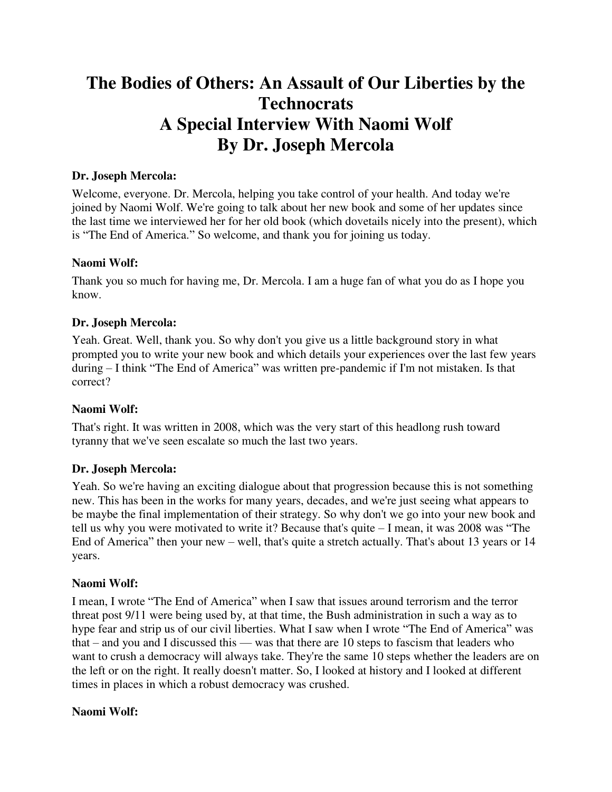# **The Bodies of Others: An Assault of Our Liberties by the Technocrats A Special Interview With Naomi Wolf By Dr. Joseph Mercola**

## **Dr. Joseph Mercola:**

Welcome, everyone. Dr. Mercola, helping you take control of your health. And today we're joined by Naomi Wolf. We're going to talk about her new book and some of her updates since the last time we interviewed her for her old book (which dovetails nicely into the present), which is "The End of America." So welcome, and thank you for joining us today.

## **Naomi Wolf:**

Thank you so much for having me, Dr. Mercola. I am a huge fan of what you do as I hope you know.

## **Dr. Joseph Mercola:**

Yeah. Great. Well, thank you. So why don't you give us a little background story in what prompted you to write your new book and which details your experiences over the last few years during – I think "The End of America" was written pre-pandemic if I'm not mistaken. Is that correct?

## **Naomi Wolf:**

That's right. It was written in 2008, which was the very start of this headlong rush toward tyranny that we've seen escalate so much the last two years.

## **Dr. Joseph Mercola:**

Yeah. So we're having an exciting dialogue about that progression because this is not something new. This has been in the works for many years, decades, and we're just seeing what appears to be maybe the final implementation of their strategy. So why don't we go into your new book and tell us why you were motivated to write it? Because that's quite – I mean, it was 2008 was "The End of America" then your new – well, that's quite a stretch actually. That's about 13 years or 14 years.

## **Naomi Wolf:**

I mean, I wrote "The End of America" when I saw that issues around terrorism and the terror threat post 9/11 were being used by, at that time, the Bush administration in such a way as to hype fear and strip us of our civil liberties. What I saw when I wrote "The End of America" was that – and you and I discussed this — was that there are 10 steps to fascism that leaders who want to crush a democracy will always take. They're the same 10 steps whether the leaders are on the left or on the right. It really doesn't matter. So, I looked at history and I looked at different times in places in which a robust democracy was crushed.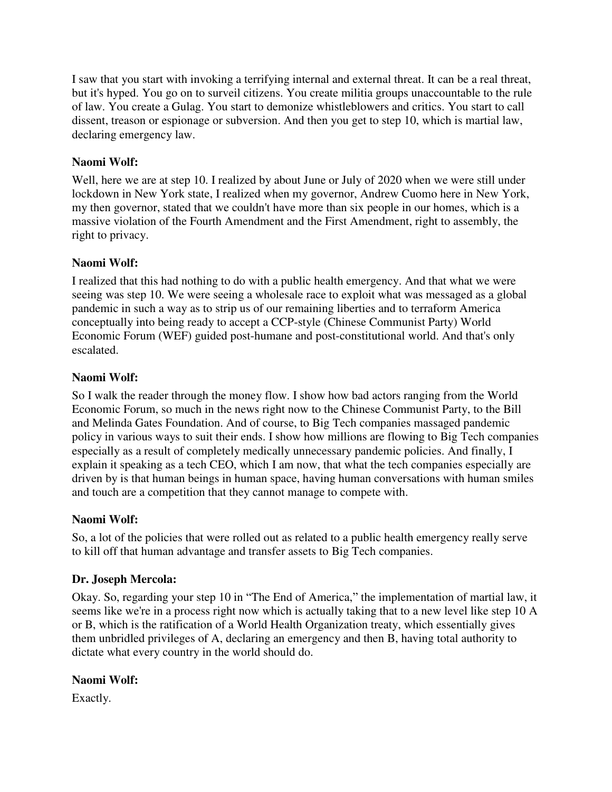I saw that you start with invoking a terrifying internal and external threat. It can be a real threat, but it's hyped. You go on to surveil citizens. You create militia groups unaccountable to the rule of law. You create a Gulag. You start to demonize whistleblowers and critics. You start to call dissent, treason or espionage or subversion. And then you get to step 10, which is martial law, declaring emergency law.

# **Naomi Wolf:**

Well, here we are at step 10. I realized by about June or July of 2020 when we were still under lockdown in New York state, I realized when my governor, Andrew Cuomo here in New York, my then governor, stated that we couldn't have more than six people in our homes, which is a massive violation of the Fourth Amendment and the First Amendment, right to assembly, the right to privacy.

# **Naomi Wolf:**

I realized that this had nothing to do with a public health emergency. And that what we were seeing was step 10. We were seeing a wholesale race to exploit what was messaged as a global pandemic in such a way as to strip us of our remaining liberties and to terraform America conceptually into being ready to accept a CCP-style (Chinese Communist Party) World Economic Forum (WEF) guided post-humane and post-constitutional world. And that's only escalated.

## **Naomi Wolf:**

So I walk the reader through the money flow. I show how bad actors ranging from the World Economic Forum, so much in the news right now to the Chinese Communist Party, to the Bill and Melinda Gates Foundation. And of course, to Big Tech companies massaged pandemic policy in various ways to suit their ends. I show how millions are flowing to Big Tech companies especially as a result of completely medically unnecessary pandemic policies. And finally, I explain it speaking as a tech CEO, which I am now, that what the tech companies especially are driven by is that human beings in human space, having human conversations with human smiles and touch are a competition that they cannot manage to compete with.

# **Naomi Wolf:**

So, a lot of the policies that were rolled out as related to a public health emergency really serve to kill off that human advantage and transfer assets to Big Tech companies.

# **Dr. Joseph Mercola:**

Okay. So, regarding your step 10 in "The End of America," the implementation of martial law, it seems like we're in a process right now which is actually taking that to a new level like step 10 A or B, which is the ratification of a World Health Organization treaty, which essentially gives them unbridled privileges of A, declaring an emergency and then B, having total authority to dictate what every country in the world should do.

# **Naomi Wolf:**

Exactly.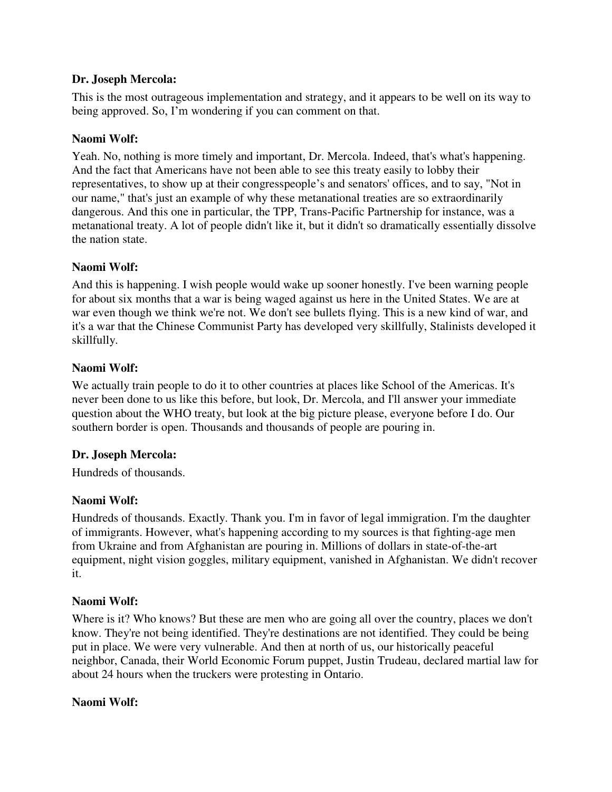## **Dr. Joseph Mercola:**

This is the most outrageous implementation and strategy, and it appears to be well on its way to being approved. So, I'm wondering if you can comment on that.

## **Naomi Wolf:**

Yeah. No, nothing is more timely and important, Dr. Mercola. Indeed, that's what's happening. And the fact that Americans have not been able to see this treaty easily to lobby their representatives, to show up at their congresspeople's and senators' offices, and to say, "Not in our name," that's just an example of why these metanational treaties are so extraordinarily dangerous. And this one in particular, the TPP, Trans-Pacific Partnership for instance, was a metanational treaty. A lot of people didn't like it, but it didn't so dramatically essentially dissolve the nation state.

## **Naomi Wolf:**

And this is happening. I wish people would wake up sooner honestly. I've been warning people for about six months that a war is being waged against us here in the United States. We are at war even though we think we're not. We don't see bullets flying. This is a new kind of war, and it's a war that the Chinese Communist Party has developed very skillfully, Stalinists developed it skillfully.

## **Naomi Wolf:**

We actually train people to do it to other countries at places like School of the Americas. It's never been done to us like this before, but look, Dr. Mercola, and I'll answer your immediate question about the WHO treaty, but look at the big picture please, everyone before I do. Our southern border is open. Thousands and thousands of people are pouring in.

## **Dr. Joseph Mercola:**

Hundreds of thousands.

# **Naomi Wolf:**

Hundreds of thousands. Exactly. Thank you. I'm in favor of legal immigration. I'm the daughter of immigrants. However, what's happening according to my sources is that fighting-age men from Ukraine and from Afghanistan are pouring in. Millions of dollars in state-of-the-art equipment, night vision goggles, military equipment, vanished in Afghanistan. We didn't recover it.

## **Naomi Wolf:**

Where is it? Who knows? But these are men who are going all over the country, places we don't know. They're not being identified. They're destinations are not identified. They could be being put in place. We were very vulnerable. And then at north of us, our historically peaceful neighbor, Canada, their World Economic Forum puppet, Justin Trudeau, declared martial law for about 24 hours when the truckers were protesting in Ontario.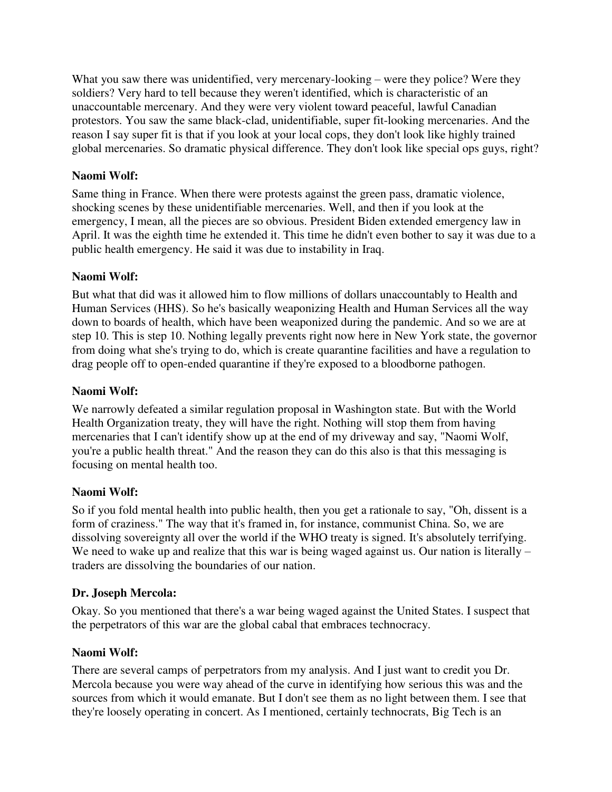What you saw there was unidentified, very mercenary-looking – were they police? Were they soldiers? Very hard to tell because they weren't identified, which is characteristic of an unaccountable mercenary. And they were very violent toward peaceful, lawful Canadian protestors. You saw the same black-clad, unidentifiable, super fit-looking mercenaries. And the reason I say super fit is that if you look at your local cops, they don't look like highly trained global mercenaries. So dramatic physical difference. They don't look like special ops guys, right?

# **Naomi Wolf:**

Same thing in France. When there were protests against the green pass, dramatic violence, shocking scenes by these unidentifiable mercenaries. Well, and then if you look at the emergency, I mean, all the pieces are so obvious. President Biden extended emergency law in April. It was the eighth time he extended it. This time he didn't even bother to say it was due to a public health emergency. He said it was due to instability in Iraq.

# **Naomi Wolf:**

But what that did was it allowed him to flow millions of dollars unaccountably to Health and Human Services (HHS). So he's basically weaponizing Health and Human Services all the way down to boards of health, which have been weaponized during the pandemic. And so we are at step 10. This is step 10. Nothing legally prevents right now here in New York state, the governor from doing what she's trying to do, which is create quarantine facilities and have a regulation to drag people off to open-ended quarantine if they're exposed to a bloodborne pathogen.

# **Naomi Wolf:**

We narrowly defeated a similar regulation proposal in Washington state. But with the World Health Organization treaty, they will have the right. Nothing will stop them from having mercenaries that I can't identify show up at the end of my driveway and say, "Naomi Wolf, you're a public health threat." And the reason they can do this also is that this messaging is focusing on mental health too.

# **Naomi Wolf:**

So if you fold mental health into public health, then you get a rationale to say, "Oh, dissent is a form of craziness." The way that it's framed in, for instance, communist China. So, we are dissolving sovereignty all over the world if the WHO treaty is signed. It's absolutely terrifying. We need to wake up and realize that this war is being waged against us. Our nation is literally – traders are dissolving the boundaries of our nation.

# **Dr. Joseph Mercola:**

Okay. So you mentioned that there's a war being waged against the United States. I suspect that the perpetrators of this war are the global cabal that embraces technocracy.

# **Naomi Wolf:**

There are several camps of perpetrators from my analysis. And I just want to credit you Dr. Mercola because you were way ahead of the curve in identifying how serious this was and the sources from which it would emanate. But I don't see them as no light between them. I see that they're loosely operating in concert. As I mentioned, certainly technocrats, Big Tech is an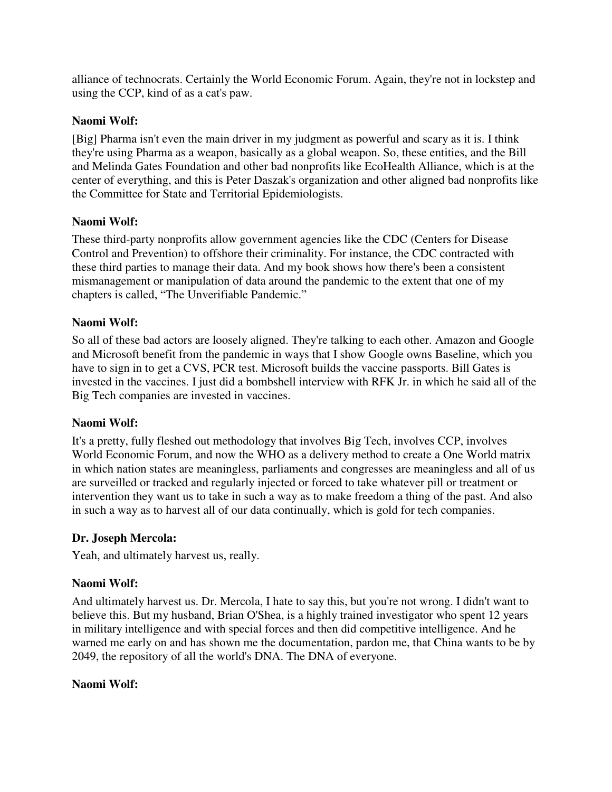alliance of technocrats. Certainly the World Economic Forum. Again, they're not in lockstep and using the CCP, kind of as a cat's paw.

# **Naomi Wolf:**

[Big] Pharma isn't even the main driver in my judgment as powerful and scary as it is. I think they're using Pharma as a weapon, basically as a global weapon. So, these entities, and the Bill and Melinda Gates Foundation and other bad nonprofits like EcoHealth Alliance, which is at the center of everything, and this is Peter Daszak's organization and other aligned bad nonprofits like the Committee for State and Territorial Epidemiologists.

# **Naomi Wolf:**

These third-party nonprofits allow government agencies like the CDC (Centers for Disease Control and Prevention) to offshore their criminality. For instance, the CDC contracted with these third parties to manage their data. And my book shows how there's been a consistent mismanagement or manipulation of data around the pandemic to the extent that one of my chapters is called, "The Unverifiable Pandemic."

# **Naomi Wolf:**

So all of these bad actors are loosely aligned. They're talking to each other. Amazon and Google and Microsoft benefit from the pandemic in ways that I show Google owns Baseline, which you have to sign in to get a CVS, PCR test. Microsoft builds the vaccine passports. Bill Gates is invested in the vaccines. I just did a bombshell interview with RFK Jr. in which he said all of the Big Tech companies are invested in vaccines.

## **Naomi Wolf:**

It's a pretty, fully fleshed out methodology that involves Big Tech, involves CCP, involves World Economic Forum, and now the WHO as a delivery method to create a One World matrix in which nation states are meaningless, parliaments and congresses are meaningless and all of us are surveilled or tracked and regularly injected or forced to take whatever pill or treatment or intervention they want us to take in such a way as to make freedom a thing of the past. And also in such a way as to harvest all of our data continually, which is gold for tech companies.

## **Dr. Joseph Mercola:**

Yeah, and ultimately harvest us, really.

## **Naomi Wolf:**

And ultimately harvest us. Dr. Mercola, I hate to say this, but you're not wrong. I didn't want to believe this. But my husband, Brian O'Shea, is a highly trained investigator who spent 12 years in military intelligence and with special forces and then did competitive intelligence. And he warned me early on and has shown me the documentation, pardon me, that China wants to be by 2049, the repository of all the world's DNA. The DNA of everyone.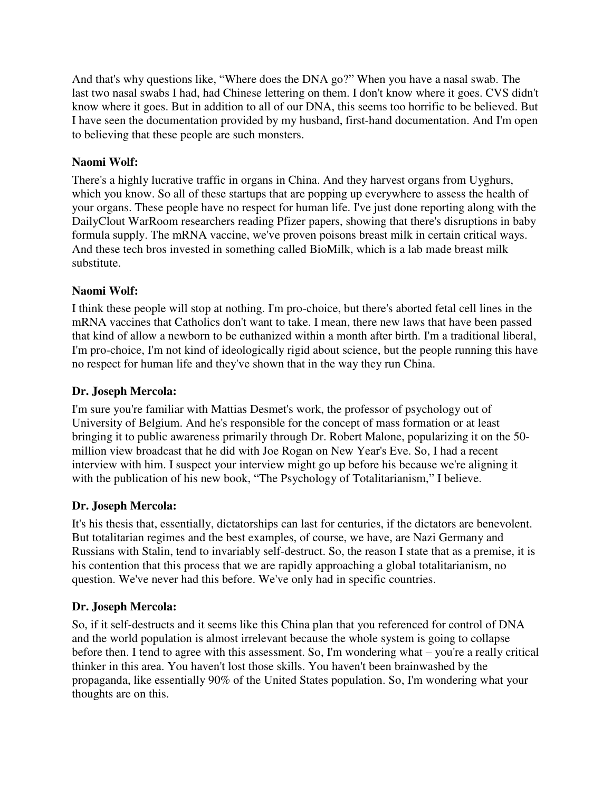And that's why questions like, "Where does the DNA go?" When you have a nasal swab. The last two nasal swabs I had, had Chinese lettering on them. I don't know where it goes. CVS didn't know where it goes. But in addition to all of our DNA, this seems too horrific to be believed. But I have seen the documentation provided by my husband, first-hand documentation. And I'm open to believing that these people are such monsters.

# **Naomi Wolf:**

There's a highly lucrative traffic in organs in China. And they harvest organs from Uyghurs, which you know. So all of these startups that are popping up everywhere to assess the health of your organs. These people have no respect for human life. I've just done reporting along with the DailyClout WarRoom researchers reading Pfizer papers, showing that there's disruptions in baby formula supply. The mRNA vaccine, we've proven poisons breast milk in certain critical ways. And these tech bros invested in something called BioMilk, which is a lab made breast milk substitute.

# **Naomi Wolf:**

I think these people will stop at nothing. I'm pro-choice, but there's aborted fetal cell lines in the mRNA vaccines that Catholics don't want to take. I mean, there new laws that have been passed that kind of allow a newborn to be euthanized within a month after birth. I'm a traditional liberal, I'm pro-choice, I'm not kind of ideologically rigid about science, but the people running this have no respect for human life and they've shown that in the way they run China.

## **Dr. Joseph Mercola:**

I'm sure you're familiar with Mattias Desmet's work, the professor of psychology out of University of Belgium. And he's responsible for the concept of mass formation or at least bringing it to public awareness primarily through Dr. Robert Malone, popularizing it on the 50 million view broadcast that he did with Joe Rogan on New Year's Eve. So, I had a recent interview with him. I suspect your interview might go up before his because we're aligning it with the publication of his new book, "The Psychology of Totalitarianism," I believe.

# **Dr. Joseph Mercola:**

It's his thesis that, essentially, dictatorships can last for centuries, if the dictators are benevolent. But totalitarian regimes and the best examples, of course, we have, are Nazi Germany and Russians with Stalin, tend to invariably self-destruct. So, the reason I state that as a premise, it is his contention that this process that we are rapidly approaching a global totalitarianism, no question. We've never had this before. We've only had in specific countries.

# **Dr. Joseph Mercola:**

So, if it self-destructs and it seems like this China plan that you referenced for control of DNA and the world population is almost irrelevant because the whole system is going to collapse before then. I tend to agree with this assessment. So, I'm wondering what – you're a really critical thinker in this area. You haven't lost those skills. You haven't been brainwashed by the propaganda, like essentially 90% of the United States population. So, I'm wondering what your thoughts are on this.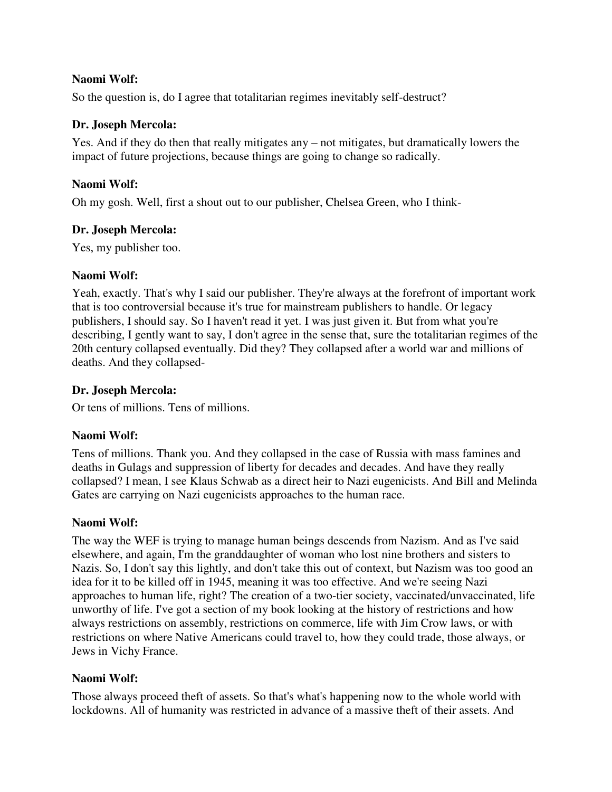So the question is, do I agree that totalitarian regimes inevitably self-destruct?

## **Dr. Joseph Mercola:**

Yes. And if they do then that really mitigates any – not mitigates, but dramatically lowers the impact of future projections, because things are going to change so radically.

## **Naomi Wolf:**

Oh my gosh. Well, first a shout out to our publisher, Chelsea Green, who I think-

## **Dr. Joseph Mercola:**

Yes, my publisher too.

## **Naomi Wolf:**

Yeah, exactly. That's why I said our publisher. They're always at the forefront of important work that is too controversial because it's true for mainstream publishers to handle. Or legacy publishers, I should say. So I haven't read it yet. I was just given it. But from what you're describing, I gently want to say, I don't agree in the sense that, sure the totalitarian regimes of the 20th century collapsed eventually. Did they? They collapsed after a world war and millions of deaths. And they collapsed-

## **Dr. Joseph Mercola:**

Or tens of millions. Tens of millions.

# **Naomi Wolf:**

Tens of millions. Thank you. And they collapsed in the case of Russia with mass famines and deaths in Gulags and suppression of liberty for decades and decades. And have they really collapsed? I mean, I see Klaus Schwab as a direct heir to Nazi eugenicists. And Bill and Melinda Gates are carrying on Nazi eugenicists approaches to the human race.

# **Naomi Wolf:**

The way the WEF is trying to manage human beings descends from Nazism. And as I've said elsewhere, and again, I'm the granddaughter of woman who lost nine brothers and sisters to Nazis. So, I don't say this lightly, and don't take this out of context, but Nazism was too good an idea for it to be killed off in 1945, meaning it was too effective. And we're seeing Nazi approaches to human life, right? The creation of a two-tier society, vaccinated/unvaccinated, life unworthy of life. I've got a section of my book looking at the history of restrictions and how always restrictions on assembly, restrictions on commerce, life with Jim Crow laws, or with restrictions on where Native Americans could travel to, how they could trade, those always, or Jews in Vichy France.

# **Naomi Wolf:**

Those always proceed theft of assets. So that's what's happening now to the whole world with lockdowns. All of humanity was restricted in advance of a massive theft of their assets. And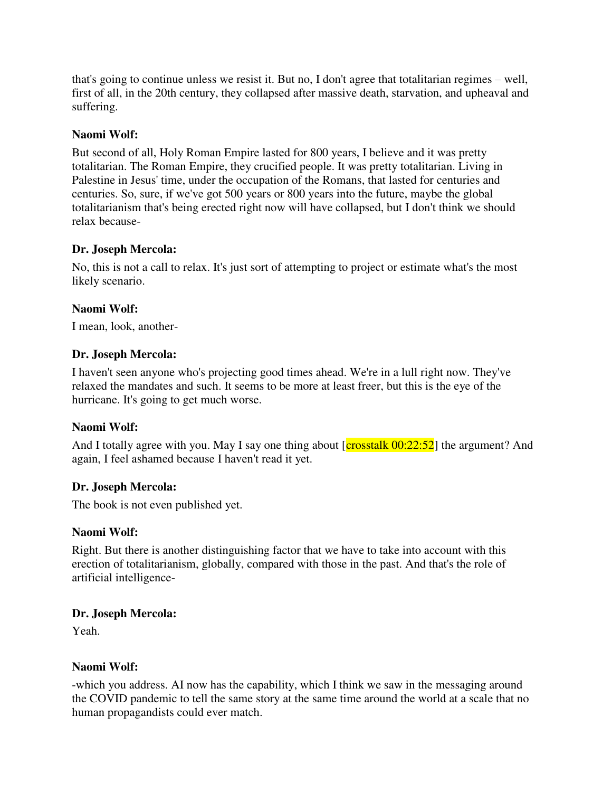that's going to continue unless we resist it. But no, I don't agree that totalitarian regimes – well, first of all, in the 20th century, they collapsed after massive death, starvation, and upheaval and suffering.

## **Naomi Wolf:**

But second of all, Holy Roman Empire lasted for 800 years, I believe and it was pretty totalitarian. The Roman Empire, they crucified people. It was pretty totalitarian. Living in Palestine in Jesus' time, under the occupation of the Romans, that lasted for centuries and centuries. So, sure, if we've got 500 years or 800 years into the future, maybe the global totalitarianism that's being erected right now will have collapsed, but I don't think we should relax because-

## **Dr. Joseph Mercola:**

No, this is not a call to relax. It's just sort of attempting to project or estimate what's the most likely scenario.

## **Naomi Wolf:**

I mean, look, another-

## **Dr. Joseph Mercola:**

I haven't seen anyone who's projecting good times ahead. We're in a lull right now. They've relaxed the mandates and such. It seems to be more at least freer, but this is the eye of the hurricane. It's going to get much worse.

## **Naomi Wolf:**

And I totally agree with you. May I say one thing about  $[{\rm crosstalk 00:22:52}]$  the argument? And again, I feel ashamed because I haven't read it yet.

## **Dr. Joseph Mercola:**

The book is not even published yet.

## **Naomi Wolf:**

Right. But there is another distinguishing factor that we have to take into account with this erection of totalitarianism, globally, compared with those in the past. And that's the role of artificial intelligence-

## **Dr. Joseph Mercola:**

Yeah.

## **Naomi Wolf:**

-which you address. AI now has the capability, which I think we saw in the messaging around the COVID pandemic to tell the same story at the same time around the world at a scale that no human propagandists could ever match.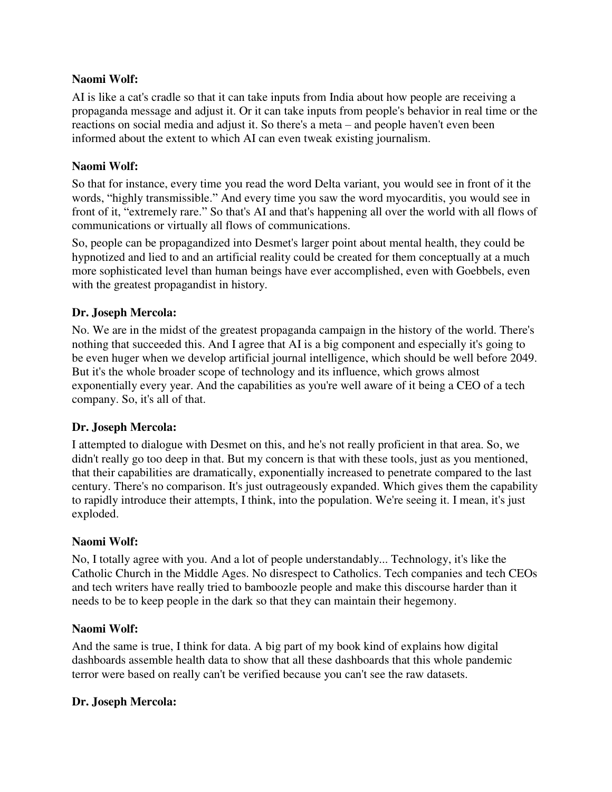AI is like a cat's cradle so that it can take inputs from India about how people are receiving a propaganda message and adjust it. Or it can take inputs from people's behavior in real time or the reactions on social media and adjust it. So there's a meta – and people haven't even been informed about the extent to which AI can even tweak existing journalism.

## **Naomi Wolf:**

So that for instance, every time you read the word Delta variant, you would see in front of it the words, "highly transmissible." And every time you saw the word myocarditis, you would see in front of it, "extremely rare." So that's AI and that's happening all over the world with all flows of communications or virtually all flows of communications.

So, people can be propagandized into Desmet's larger point about mental health, they could be hypnotized and lied to and an artificial reality could be created for them conceptually at a much more sophisticated level than human beings have ever accomplished, even with Goebbels, even with the greatest propagandist in history.

## **Dr. Joseph Mercola:**

No. We are in the midst of the greatest propaganda campaign in the history of the world. There's nothing that succeeded this. And I agree that AI is a big component and especially it's going to be even huger when we develop artificial journal intelligence, which should be well before 2049. But it's the whole broader scope of technology and its influence, which grows almost exponentially every year. And the capabilities as you're well aware of it being a CEO of a tech company. So, it's all of that.

## **Dr. Joseph Mercola:**

I attempted to dialogue with Desmet on this, and he's not really proficient in that area. So, we didn't really go too deep in that. But my concern is that with these tools, just as you mentioned, that their capabilities are dramatically, exponentially increased to penetrate compared to the last century. There's no comparison. It's just outrageously expanded. Which gives them the capability to rapidly introduce their attempts, I think, into the population. We're seeing it. I mean, it's just exploded.

## **Naomi Wolf:**

No, I totally agree with you. And a lot of people understandably... Technology, it's like the Catholic Church in the Middle Ages. No disrespect to Catholics. Tech companies and tech CEOs and tech writers have really tried to bamboozle people and make this discourse harder than it needs to be to keep people in the dark so that they can maintain their hegemony.

## **Naomi Wolf:**

And the same is true, I think for data. A big part of my book kind of explains how digital dashboards assemble health data to show that all these dashboards that this whole pandemic terror were based on really can't be verified because you can't see the raw datasets.

## **Dr. Joseph Mercola:**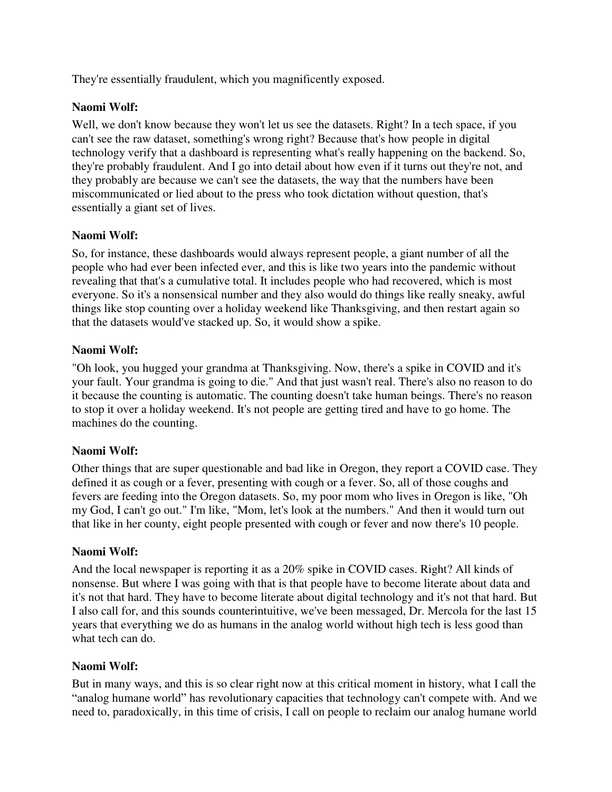They're essentially fraudulent, which you magnificently exposed.

## **Naomi Wolf:**

Well, we don't know because they won't let us see the datasets. Right? In a tech space, if you can't see the raw dataset, something's wrong right? Because that's how people in digital technology verify that a dashboard is representing what's really happening on the backend. So, they're probably fraudulent. And I go into detail about how even if it turns out they're not, and they probably are because we can't see the datasets, the way that the numbers have been miscommunicated or lied about to the press who took dictation without question, that's essentially a giant set of lives.

## **Naomi Wolf:**

So, for instance, these dashboards would always represent people, a giant number of all the people who had ever been infected ever, and this is like two years into the pandemic without revealing that that's a cumulative total. It includes people who had recovered, which is most everyone. So it's a nonsensical number and they also would do things like really sneaky, awful things like stop counting over a holiday weekend like Thanksgiving, and then restart again so that the datasets would've stacked up. So, it would show a spike.

## **Naomi Wolf:**

"Oh look, you hugged your grandma at Thanksgiving. Now, there's a spike in COVID and it's your fault. Your grandma is going to die." And that just wasn't real. There's also no reason to do it because the counting is automatic. The counting doesn't take human beings. There's no reason to stop it over a holiday weekend. It's not people are getting tired and have to go home. The machines do the counting.

## **Naomi Wolf:**

Other things that are super questionable and bad like in Oregon, they report a COVID case. They defined it as cough or a fever, presenting with cough or a fever. So, all of those coughs and fevers are feeding into the Oregon datasets. So, my poor mom who lives in Oregon is like, "Oh my God, I can't go out." I'm like, "Mom, let's look at the numbers." And then it would turn out that like in her county, eight people presented with cough or fever and now there's 10 people.

## **Naomi Wolf:**

And the local newspaper is reporting it as a 20% spike in COVID cases. Right? All kinds of nonsense. But where I was going with that is that people have to become literate about data and it's not that hard. They have to become literate about digital technology and it's not that hard. But I also call for, and this sounds counterintuitive, we've been messaged, Dr. Mercola for the last 15 years that everything we do as humans in the analog world without high tech is less good than what tech can do.

## **Naomi Wolf:**

But in many ways, and this is so clear right now at this critical moment in history, what I call the "analog humane world" has revolutionary capacities that technology can't compete with. And we need to, paradoxically, in this time of crisis, I call on people to reclaim our analog humane world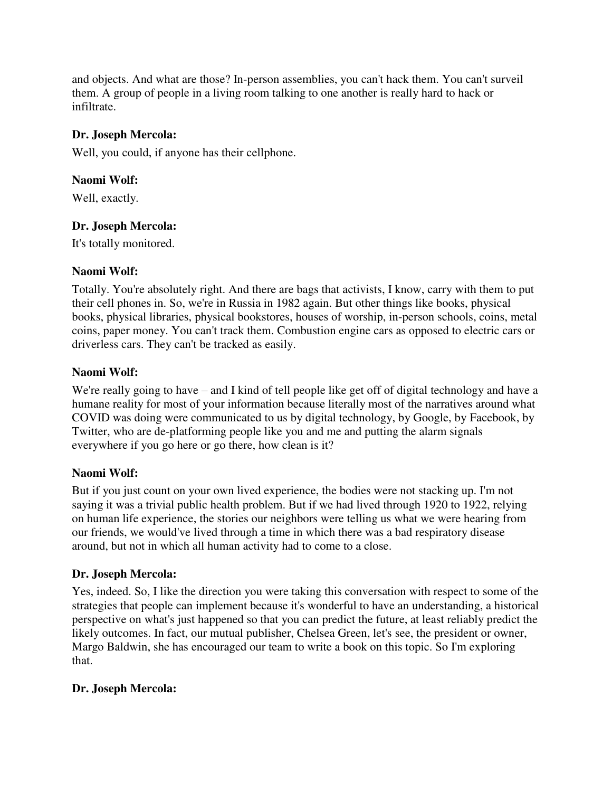and objects. And what are those? In-person assemblies, you can't hack them. You can't surveil them. A group of people in a living room talking to one another is really hard to hack or infiltrate.

# **Dr. Joseph Mercola:**

Well, you could, if anyone has their cellphone.

## **Naomi Wolf:**

Well, exactly.

## **Dr. Joseph Mercola:**

It's totally monitored.

## **Naomi Wolf:**

Totally. You're absolutely right. And there are bags that activists, I know, carry with them to put their cell phones in. So, we're in Russia in 1982 again. But other things like books, physical books, physical libraries, physical bookstores, houses of worship, in-person schools, coins, metal coins, paper money. You can't track them. Combustion engine cars as opposed to electric cars or driverless cars. They can't be tracked as easily.

## **Naomi Wolf:**

We're really going to have – and I kind of tell people like get off of digital technology and have a humane reality for most of your information because literally most of the narratives around what COVID was doing were communicated to us by digital technology, by Google, by Facebook, by Twitter, who are de-platforming people like you and me and putting the alarm signals everywhere if you go here or go there, how clean is it?

## **Naomi Wolf:**

But if you just count on your own lived experience, the bodies were not stacking up. I'm not saying it was a trivial public health problem. But if we had lived through 1920 to 1922, relying on human life experience, the stories our neighbors were telling us what we were hearing from our friends, we would've lived through a time in which there was a bad respiratory disease around, but not in which all human activity had to come to a close.

## **Dr. Joseph Mercola:**

Yes, indeed. So, I like the direction you were taking this conversation with respect to some of the strategies that people can implement because it's wonderful to have an understanding, a historical perspective on what's just happened so that you can predict the future, at least reliably predict the likely outcomes. In fact, our mutual publisher, Chelsea Green, let's see, the president or owner, Margo Baldwin, she has encouraged our team to write a book on this topic. So I'm exploring that.

# **Dr. Joseph Mercola:**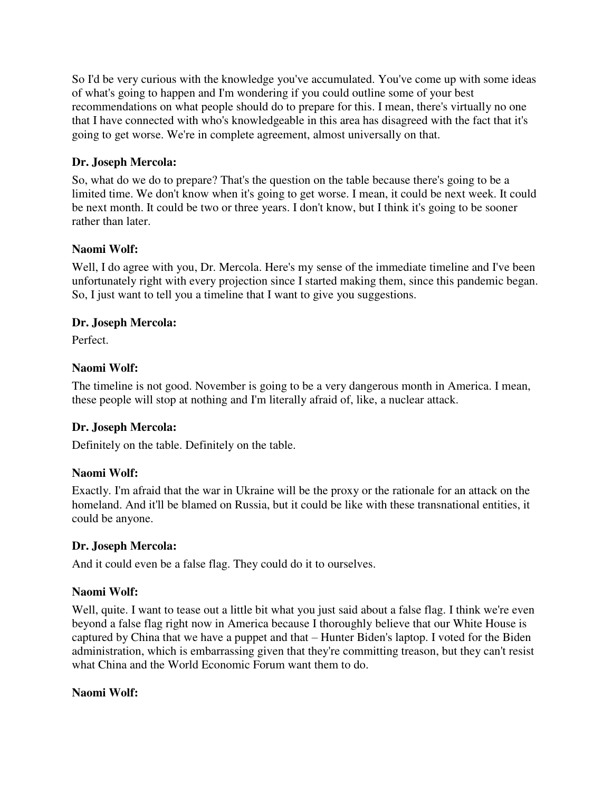So I'd be very curious with the knowledge you've accumulated. You've come up with some ideas of what's going to happen and I'm wondering if you could outline some of your best recommendations on what people should do to prepare for this. I mean, there's virtually no one that I have connected with who's knowledgeable in this area has disagreed with the fact that it's going to get worse. We're in complete agreement, almost universally on that.

# **Dr. Joseph Mercola:**

So, what do we do to prepare? That's the question on the table because there's going to be a limited time. We don't know when it's going to get worse. I mean, it could be next week. It could be next month. It could be two or three years. I don't know, but I think it's going to be sooner rather than later.

# **Naomi Wolf:**

Well, I do agree with you, Dr. Mercola. Here's my sense of the immediate timeline and I've been unfortunately right with every projection since I started making them, since this pandemic began. So, I just want to tell you a timeline that I want to give you suggestions.

# **Dr. Joseph Mercola:**

Perfect.

# **Naomi Wolf:**

The timeline is not good. November is going to be a very dangerous month in America. I mean, these people will stop at nothing and I'm literally afraid of, like, a nuclear attack.

# **Dr. Joseph Mercola:**

Definitely on the table. Definitely on the table.

# **Naomi Wolf:**

Exactly. I'm afraid that the war in Ukraine will be the proxy or the rationale for an attack on the homeland. And it'll be blamed on Russia, but it could be like with these transnational entities, it could be anyone.

# **Dr. Joseph Mercola:**

And it could even be a false flag. They could do it to ourselves.

# **Naomi Wolf:**

Well, quite. I want to tease out a little bit what you just said about a false flag. I think we're even beyond a false flag right now in America because I thoroughly believe that our White House is captured by China that we have a puppet and that – Hunter Biden's laptop. I voted for the Biden administration, which is embarrassing given that they're committing treason, but they can't resist what China and the World Economic Forum want them to do.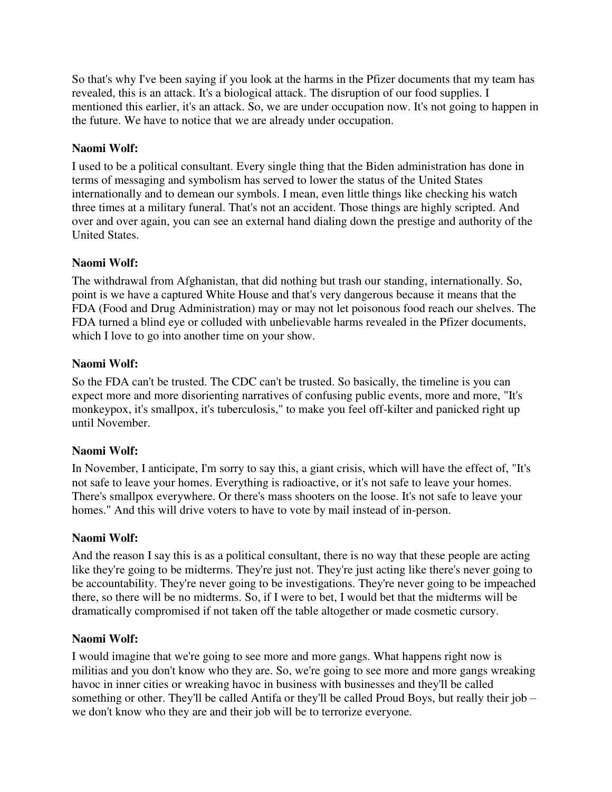So that's why I've been saying if you look at the harms in the Pfizer documents that my team has revealed, this is an attack. It's a biological attack. The disruption of our food supplies. I mentioned this earlier, it's an attack. So, we are under occupation now. It's not going to happen in the future. We have to notice that we are already under occupation.

# **Naomi Wolf:**

I used to be a political consultant. Every single thing that the Biden administration has done in terms of messaging and symbolism has served to lower the status of the United States internationally and to demean our symbols. I mean, even little things like checking his watch three times at a military funeral. That's not an accident. Those things are highly scripted. And over and over again, you can see an external hand dialing down the prestige and authority of the United States.

# **Naomi Wolf:**

The withdrawal from Afghanistan, that did nothing but trash our standing, internationally. So, point is we have a captured White House and that's very dangerous because it means that the FDA (Food and Drug Administration) may or may not let poisonous food reach our shelves. The FDA turned a blind eye or colluded with unbelievable harms revealed in the Pfizer documents, which I love to go into another time on your show.

# **Naomi Wolf:**

So the FDA can't be trusted. The CDC can't be trusted. So basically, the timeline is you can expect more and more disorienting narratives of confusing public events, more and more, "It's monkeypox, it's smallpox, it's tuberculosis," to make you feel off-kilter and panicked right up until November.

# **Naomi Wolf:**

In November, I anticipate, I'm sorry to say this, a giant crisis, which will have the effect of, "It's not safe to leave your homes. Everything is radioactive, or it's not safe to leave your homes. There's smallpox everywhere. Or there's mass shooters on the loose. It's not safe to leave your homes." And this will drive voters to have to vote by mail instead of in-person.

# **Naomi Wolf:**

And the reason I say this is as a political consultant, there is no way that these people are acting like they're going to be midterms. They're just not. They're just acting like there's never going to be accountability. They're never going to be investigations. They're never going to be impeached there, so there will be no midterms. So, if I were to bet, I would bet that the midterms will be dramatically compromised if not taken off the table altogether or made cosmetic cursory.

# **Naomi Wolf:**

I would imagine that we're going to see more and more gangs. What happens right now is militias and you don't know who they are. So, we're going to see more and more gangs wreaking havoc in inner cities or wreaking havoc in business with businesses and they'll be called something or other. They'll be called Antifa or they'll be called Proud Boys, but really their job – we don't know who they are and their job will be to terrorize everyone.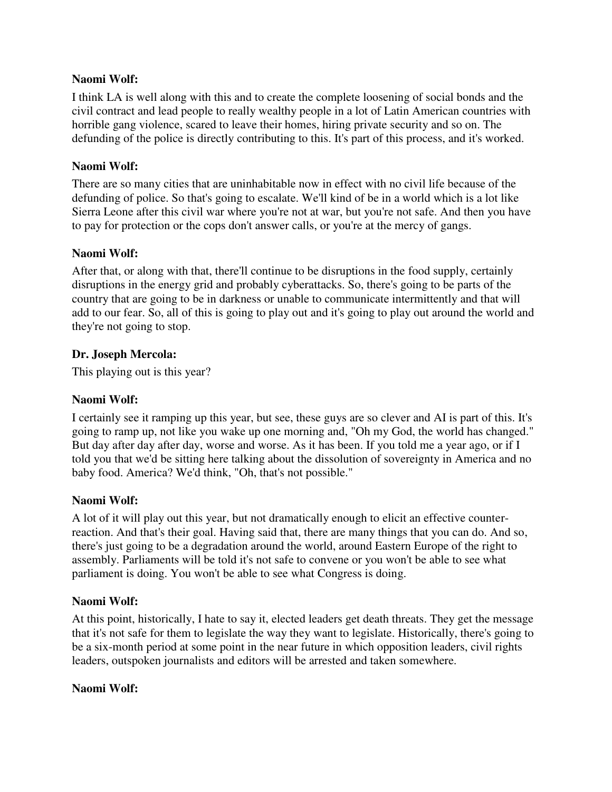I think LA is well along with this and to create the complete loosening of social bonds and the civil contract and lead people to really wealthy people in a lot of Latin American countries with horrible gang violence, scared to leave their homes, hiring private security and so on. The defunding of the police is directly contributing to this. It's part of this process, and it's worked.

## **Naomi Wolf:**

There are so many cities that are uninhabitable now in effect with no civil life because of the defunding of police. So that's going to escalate. We'll kind of be in a world which is a lot like Sierra Leone after this civil war where you're not at war, but you're not safe. And then you have to pay for protection or the cops don't answer calls, or you're at the mercy of gangs.

## **Naomi Wolf:**

After that, or along with that, there'll continue to be disruptions in the food supply, certainly disruptions in the energy grid and probably cyberattacks. So, there's going to be parts of the country that are going to be in darkness or unable to communicate intermittently and that will add to our fear. So, all of this is going to play out and it's going to play out around the world and they're not going to stop.

## **Dr. Joseph Mercola:**

This playing out is this year?

## **Naomi Wolf:**

I certainly see it ramping up this year, but see, these guys are so clever and AI is part of this. It's going to ramp up, not like you wake up one morning and, "Oh my God, the world has changed." But day after day after day, worse and worse. As it has been. If you told me a year ago, or if I told you that we'd be sitting here talking about the dissolution of sovereignty in America and no baby food. America? We'd think, "Oh, that's not possible."

## **Naomi Wolf:**

A lot of it will play out this year, but not dramatically enough to elicit an effective counterreaction. And that's their goal. Having said that, there are many things that you can do. And so, there's just going to be a degradation around the world, around Eastern Europe of the right to assembly. Parliaments will be told it's not safe to convene or you won't be able to see what parliament is doing. You won't be able to see what Congress is doing.

## **Naomi Wolf:**

At this point, historically, I hate to say it, elected leaders get death threats. They get the message that it's not safe for them to legislate the way they want to legislate. Historically, there's going to be a six-month period at some point in the near future in which opposition leaders, civil rights leaders, outspoken journalists and editors will be arrested and taken somewhere.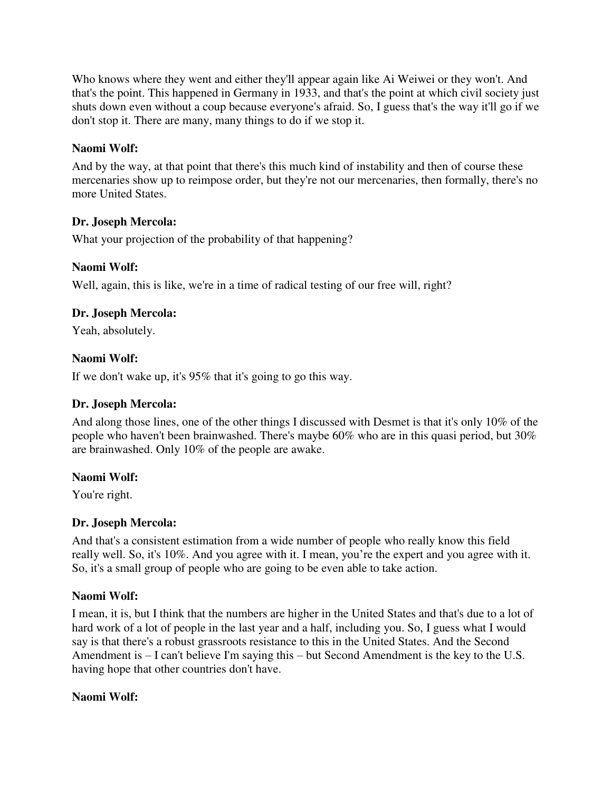Who knows where they went and either they'll appear again like Ai Weiwei or they won't. And that's the point. This happened in Germany in 1933, and that's the point at which civil society just shuts down even without a coup because everyone's afraid. So, I guess that's the way it'll go if we don't stop it. There are many, many things to do if we stop it.

# **Naomi Wolf:**

And by the way, at that point that there's this much kind of instability and then of course these mercenaries show up to reimpose order, but they're not our mercenaries, then formally, there's no more United States.

# **Dr. Joseph Mercola:**

What your projection of the probability of that happening?

# **Naomi Wolf:**

Well, again, this is like, we're in a time of radical testing of our free will, right?

# **Dr. Joseph Mercola:**

Yeah, absolutely.

# **Naomi Wolf:**

If we don't wake up, it's 95% that it's going to go this way.

# **Dr. Joseph Mercola:**

And along those lines, one of the other things I discussed with Desmet is that it's only 10% of the people who haven't been brainwashed. There's maybe 60% who are in this quasi period, but 30% are brainwashed. Only 10% of the people are awake.

# **Naomi Wolf:**

You're right.

# **Dr. Joseph Mercola:**

And that's a consistent estimation from a wide number of people who really know this field really well. So, it's 10%. And you agree with it. I mean, you're the expert and you agree with it. So, it's a small group of people who are going to be even able to take action.

# **Naomi Wolf:**

I mean, it is, but I think that the numbers are higher in the United States and that's due to a lot of hard work of a lot of people in the last year and a half, including you. So, I guess what I would say is that there's a robust grassroots resistance to this in the United States. And the Second Amendment is – I can't believe I'm saying this – but Second Amendment is the key to the U.S. having hope that other countries don't have.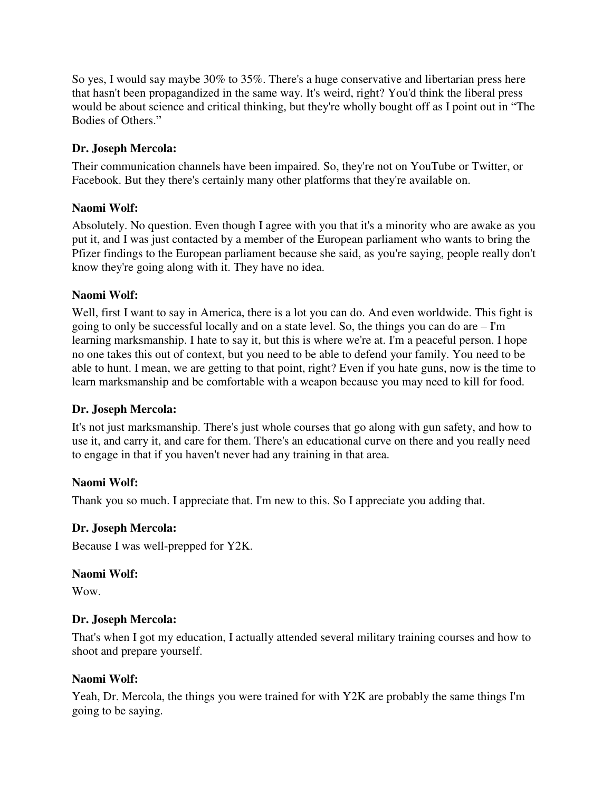So yes, I would say maybe 30% to 35%. There's a huge conservative and libertarian press here that hasn't been propagandized in the same way. It's weird, right? You'd think the liberal press would be about science and critical thinking, but they're wholly bought off as I point out in "The Bodies of Others."

# **Dr. Joseph Mercola:**

Their communication channels have been impaired. So, they're not on YouTube or Twitter, or Facebook. But they there's certainly many other platforms that they're available on.

# **Naomi Wolf:**

Absolutely. No question. Even though I agree with you that it's a minority who are awake as you put it, and I was just contacted by a member of the European parliament who wants to bring the Pfizer findings to the European parliament because she said, as you're saying, people really don't know they're going along with it. They have no idea.

## **Naomi Wolf:**

Well, first I want to say in America, there is a lot you can do. And even worldwide. This fight is going to only be successful locally and on a state level. So, the things you can do are – I'm learning marksmanship. I hate to say it, but this is where we're at. I'm a peaceful person. I hope no one takes this out of context, but you need to be able to defend your family. You need to be able to hunt. I mean, we are getting to that point, right? Even if you hate guns, now is the time to learn marksmanship and be comfortable with a weapon because you may need to kill for food.

## **Dr. Joseph Mercola:**

It's not just marksmanship. There's just whole courses that go along with gun safety, and how to use it, and carry it, and care for them. There's an educational curve on there and you really need to engage in that if you haven't never had any training in that area.

# **Naomi Wolf:**

Thank you so much. I appreciate that. I'm new to this. So I appreciate you adding that.

## **Dr. Joseph Mercola:**

Because I was well-prepped for Y2K.

## **Naomi Wolf:**

Wow.

# **Dr. Joseph Mercola:**

That's when I got my education, I actually attended several military training courses and how to shoot and prepare yourself.

# **Naomi Wolf:**

Yeah, Dr. Mercola, the things you were trained for with Y2K are probably the same things I'm going to be saying.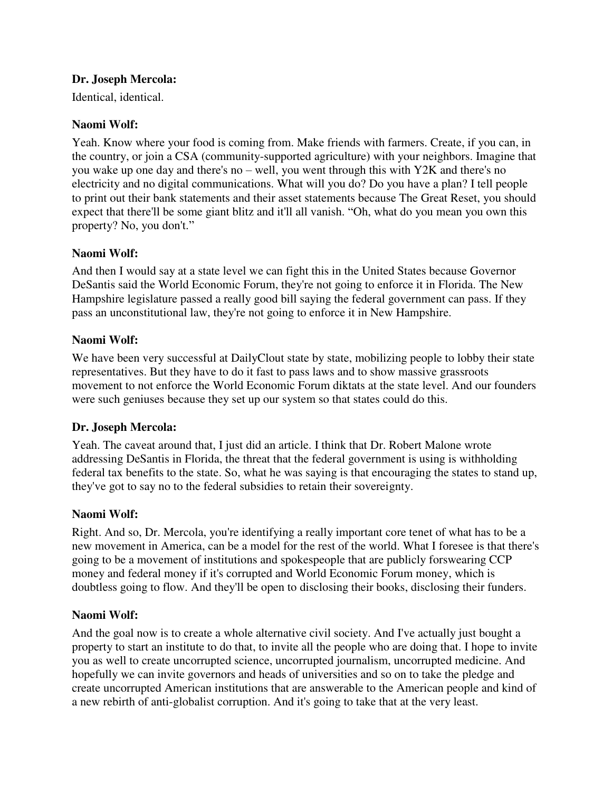## **Dr. Joseph Mercola:**

Identical, identical.

## **Naomi Wolf:**

Yeah. Know where your food is coming from. Make friends with farmers. Create, if you can, in the country, or join a CSA (community-supported agriculture) with your neighbors. Imagine that you wake up one day and there's no – well, you went through this with Y2K and there's no electricity and no digital communications. What will you do? Do you have a plan? I tell people to print out their bank statements and their asset statements because The Great Reset, you should expect that there'll be some giant blitz and it'll all vanish. "Oh, what do you mean you own this property? No, you don't."

## **Naomi Wolf:**

And then I would say at a state level we can fight this in the United States because Governor DeSantis said the World Economic Forum, they're not going to enforce it in Florida. The New Hampshire legislature passed a really good bill saying the federal government can pass. If they pass an unconstitutional law, they're not going to enforce it in New Hampshire.

## **Naomi Wolf:**

We have been very successful at DailyClout state by state, mobilizing people to lobby their state representatives. But they have to do it fast to pass laws and to show massive grassroots movement to not enforce the World Economic Forum diktats at the state level. And our founders were such geniuses because they set up our system so that states could do this.

## **Dr. Joseph Mercola:**

Yeah. The caveat around that, I just did an article. I think that Dr. Robert Malone wrote addressing DeSantis in Florida, the threat that the federal government is using is withholding federal tax benefits to the state. So, what he was saying is that encouraging the states to stand up, they've got to say no to the federal subsidies to retain their sovereignty.

## **Naomi Wolf:**

Right. And so, Dr. Mercola, you're identifying a really important core tenet of what has to be a new movement in America, can be a model for the rest of the world. What I foresee is that there's going to be a movement of institutions and spokespeople that are publicly forswearing CCP money and federal money if it's corrupted and World Economic Forum money, which is doubtless going to flow. And they'll be open to disclosing their books, disclosing their funders.

## **Naomi Wolf:**

And the goal now is to create a whole alternative civil society. And I've actually just bought a property to start an institute to do that, to invite all the people who are doing that. I hope to invite you as well to create uncorrupted science, uncorrupted journalism, uncorrupted medicine. And hopefully we can invite governors and heads of universities and so on to take the pledge and create uncorrupted American institutions that are answerable to the American people and kind of a new rebirth of anti-globalist corruption. And it's going to take that at the very least.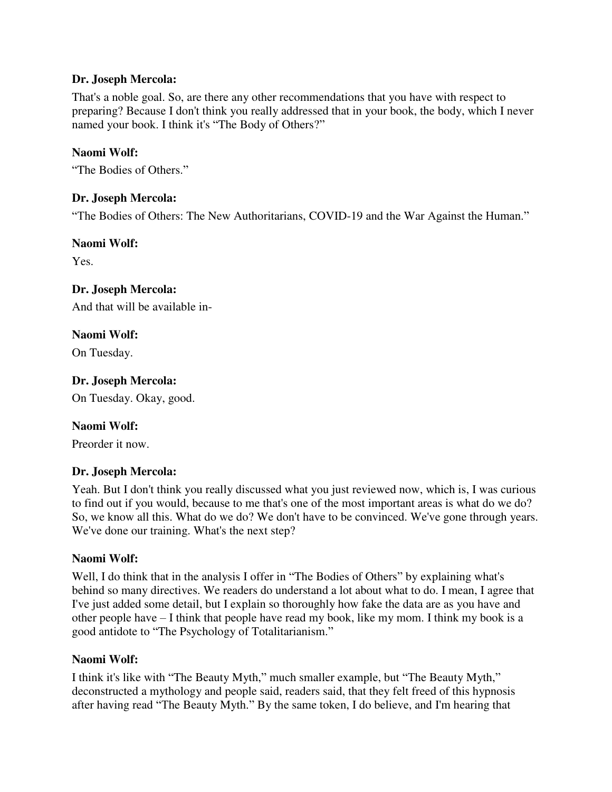## **Dr. Joseph Mercola:**

That's a noble goal. So, are there any other recommendations that you have with respect to preparing? Because I don't think you really addressed that in your book, the body, which I never named your book. I think it's "The Body of Others?"

## **Naomi Wolf:**

"The Bodies of Others."

## **Dr. Joseph Mercola:**

"The Bodies of Others: The New Authoritarians, COVID-19 and the War Against the Human."

## **Naomi Wolf:**

Yes.

# **Dr. Joseph Mercola:**

And that will be available in-

# **Naomi Wolf:**

On Tuesday.

## **Dr. Joseph Mercola:**

On Tuesday. Okay, good.

## **Naomi Wolf:**

Preorder it now.

## **Dr. Joseph Mercola:**

Yeah. But I don't think you really discussed what you just reviewed now, which is, I was curious to find out if you would, because to me that's one of the most important areas is what do we do? So, we know all this. What do we do? We don't have to be convinced. We've gone through years. We've done our training. What's the next step?

## **Naomi Wolf:**

Well, I do think that in the analysis I offer in "The Bodies of Others" by explaining what's behind so many directives. We readers do understand a lot about what to do. I mean, I agree that I've just added some detail, but I explain so thoroughly how fake the data are as you have and other people have – I think that people have read my book, like my mom. I think my book is a good antidote to "The Psychology of Totalitarianism."

## **Naomi Wolf:**

I think it's like with "The Beauty Myth," much smaller example, but "The Beauty Myth," deconstructed a mythology and people said, readers said, that they felt freed of this hypnosis after having read "The Beauty Myth." By the same token, I do believe, and I'm hearing that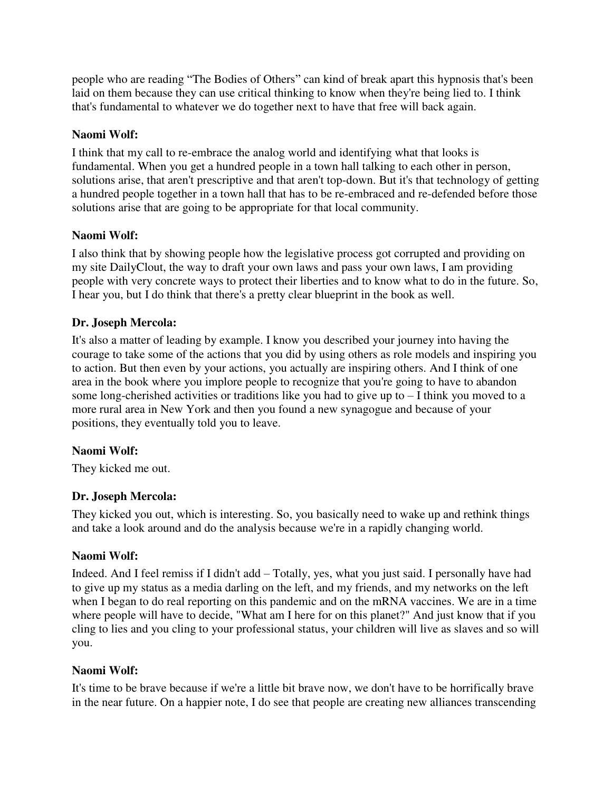people who are reading "The Bodies of Others" can kind of break apart this hypnosis that's been laid on them because they can use critical thinking to know when they're being lied to. I think that's fundamental to whatever we do together next to have that free will back again.

# **Naomi Wolf:**

I think that my call to re-embrace the analog world and identifying what that looks is fundamental. When you get a hundred people in a town hall talking to each other in person, solutions arise, that aren't prescriptive and that aren't top-down. But it's that technology of getting a hundred people together in a town hall that has to be re-embraced and re-defended before those solutions arise that are going to be appropriate for that local community.

# **Naomi Wolf:**

I also think that by showing people how the legislative process got corrupted and providing on my site DailyClout, the way to draft your own laws and pass your own laws, I am providing people with very concrete ways to protect their liberties and to know what to do in the future. So, I hear you, but I do think that there's a pretty clear blueprint in the book as well.

# **Dr. Joseph Mercola:**

It's also a matter of leading by example. I know you described your journey into having the courage to take some of the actions that you did by using others as role models and inspiring you to action. But then even by your actions, you actually are inspiring others. And I think of one area in the book where you implore people to recognize that you're going to have to abandon some long-cherished activities or traditions like you had to give up to  $-1$  think you moved to a more rural area in New York and then you found a new synagogue and because of your positions, they eventually told you to leave.

# **Naomi Wolf:**

They kicked me out.

# **Dr. Joseph Mercola:**

They kicked you out, which is interesting. So, you basically need to wake up and rethink things and take a look around and do the analysis because we're in a rapidly changing world.

# **Naomi Wolf:**

Indeed. And I feel remiss if I didn't add – Totally, yes, what you just said. I personally have had to give up my status as a media darling on the left, and my friends, and my networks on the left when I began to do real reporting on this pandemic and on the mRNA vaccines. We are in a time where people will have to decide, "What am I here for on this planet?" And just know that if you cling to lies and you cling to your professional status, your children will live as slaves and so will you.

# **Naomi Wolf:**

It's time to be brave because if we're a little bit brave now, we don't have to be horrifically brave in the near future. On a happier note, I do see that people are creating new alliances transcending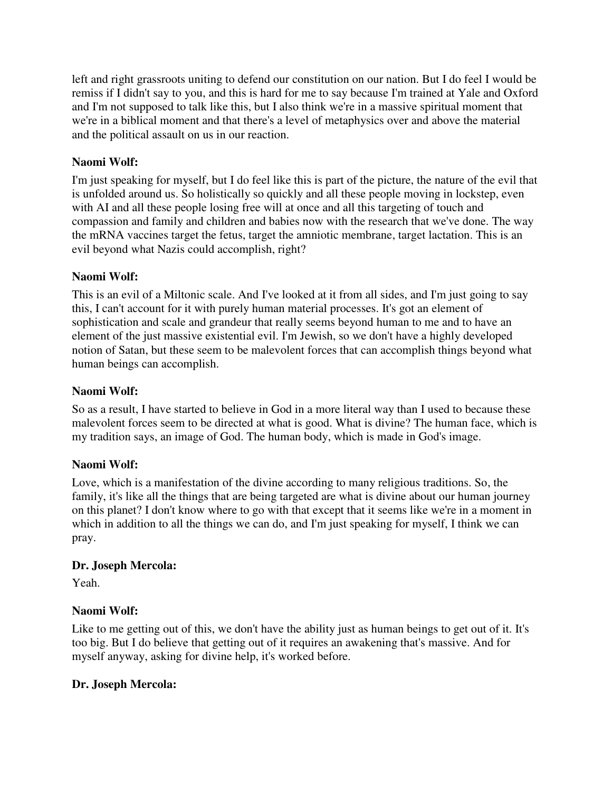left and right grassroots uniting to defend our constitution on our nation. But I do feel I would be remiss if I didn't say to you, and this is hard for me to say because I'm trained at Yale and Oxford and I'm not supposed to talk like this, but I also think we're in a massive spiritual moment that we're in a biblical moment and that there's a level of metaphysics over and above the material and the political assault on us in our reaction.

# **Naomi Wolf:**

I'm just speaking for myself, but I do feel like this is part of the picture, the nature of the evil that is unfolded around us. So holistically so quickly and all these people moving in lockstep, even with AI and all these people losing free will at once and all this targeting of touch and compassion and family and children and babies now with the research that we've done. The way the mRNA vaccines target the fetus, target the amniotic membrane, target lactation. This is an evil beyond what Nazis could accomplish, right?

# **Naomi Wolf:**

This is an evil of a Miltonic scale. And I've looked at it from all sides, and I'm just going to say this, I can't account for it with purely human material processes. It's got an element of sophistication and scale and grandeur that really seems beyond human to me and to have an element of the just massive existential evil. I'm Jewish, so we don't have a highly developed notion of Satan, but these seem to be malevolent forces that can accomplish things beyond what human beings can accomplish.

# **Naomi Wolf:**

So as a result, I have started to believe in God in a more literal way than I used to because these malevolent forces seem to be directed at what is good. What is divine? The human face, which is my tradition says, an image of God. The human body, which is made in God's image.

# **Naomi Wolf:**

Love, which is a manifestation of the divine according to many religious traditions. So, the family, it's like all the things that are being targeted are what is divine about our human journey on this planet? I don't know where to go with that except that it seems like we're in a moment in which in addition to all the things we can do, and I'm just speaking for myself. I think we can pray.

# **Dr. Joseph Mercola:**

Yeah.

# **Naomi Wolf:**

Like to me getting out of this, we don't have the ability just as human beings to get out of it. It's too big. But I do believe that getting out of it requires an awakening that's massive. And for myself anyway, asking for divine help, it's worked before.

# **Dr. Joseph Mercola:**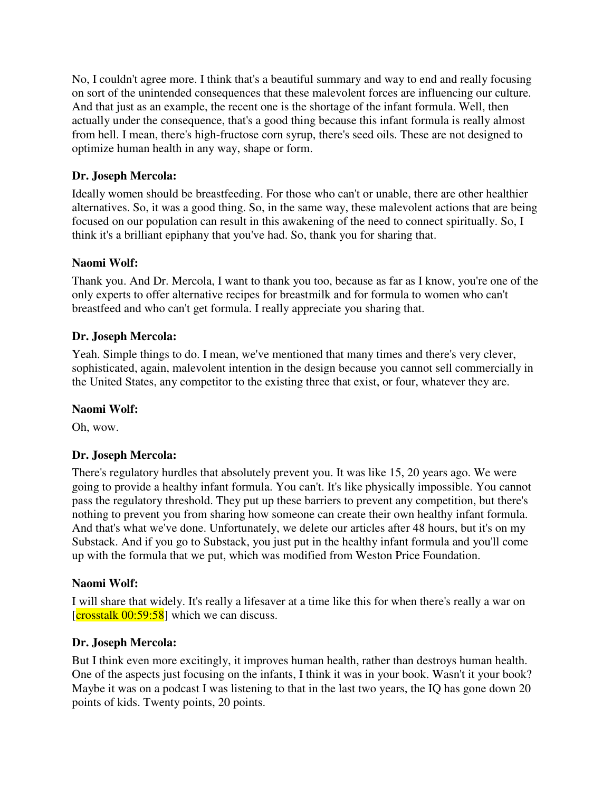No, I couldn't agree more. I think that's a beautiful summary and way to end and really focusing on sort of the unintended consequences that these malevolent forces are influencing our culture. And that just as an example, the recent one is the shortage of the infant formula. Well, then actually under the consequence, that's a good thing because this infant formula is really almost from hell. I mean, there's high-fructose corn syrup, there's seed oils. These are not designed to optimize human health in any way, shape or form.

# **Dr. Joseph Mercola:**

Ideally women should be breastfeeding. For those who can't or unable, there are other healthier alternatives. So, it was a good thing. So, in the same way, these malevolent actions that are being focused on our population can result in this awakening of the need to connect spiritually. So, I think it's a brilliant epiphany that you've had. So, thank you for sharing that.

## **Naomi Wolf:**

Thank you. And Dr. Mercola, I want to thank you too, because as far as I know, you're one of the only experts to offer alternative recipes for breastmilk and for formula to women who can't breastfeed and who can't get formula. I really appreciate you sharing that.

## **Dr. Joseph Mercola:**

Yeah. Simple things to do. I mean, we've mentioned that many times and there's very clever, sophisticated, again, malevolent intention in the design because you cannot sell commercially in the United States, any competitor to the existing three that exist, or four, whatever they are.

## **Naomi Wolf:**

Oh, wow.

# **Dr. Joseph Mercola:**

There's regulatory hurdles that absolutely prevent you. It was like 15, 20 years ago. We were going to provide a healthy infant formula. You can't. It's like physically impossible. You cannot pass the regulatory threshold. They put up these barriers to prevent any competition, but there's nothing to prevent you from sharing how someone can create their own healthy infant formula. And that's what we've done. Unfortunately, we delete our articles after 48 hours, but it's on my Substack. And if you go to Substack, you just put in the healthy infant formula and you'll come up with the formula that we put, which was modified from Weston Price Foundation.

## **Naomi Wolf:**

I will share that widely. It's really a lifesaver at a time like this for when there's really a war on  $[{\rm crosstalk\ 00:59:58}]$  which we can discuss.

## **Dr. Joseph Mercola:**

But I think even more excitingly, it improves human health, rather than destroys human health. One of the aspects just focusing on the infants, I think it was in your book. Wasn't it your book? Maybe it was on a podcast I was listening to that in the last two years, the IQ has gone down 20 points of kids. Twenty points, 20 points.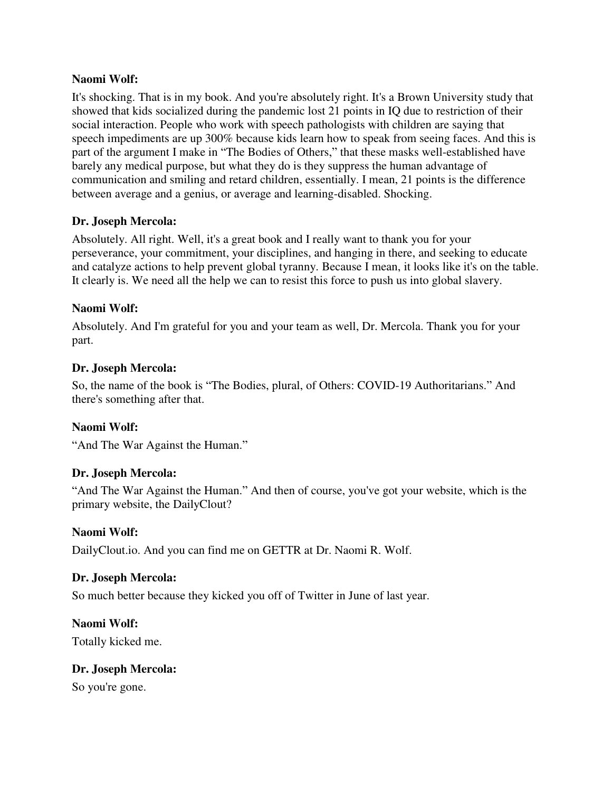It's shocking. That is in my book. And you're absolutely right. It's a Brown University study that showed that kids socialized during the pandemic lost 21 points in IQ due to restriction of their social interaction. People who work with speech pathologists with children are saying that speech impediments are up 300% because kids learn how to speak from seeing faces. And this is part of the argument I make in "The Bodies of Others," that these masks well-established have barely any medical purpose, but what they do is they suppress the human advantage of communication and smiling and retard children, essentially. I mean, 21 points is the difference between average and a genius, or average and learning-disabled. Shocking.

## **Dr. Joseph Mercola:**

Absolutely. All right. Well, it's a great book and I really want to thank you for your perseverance, your commitment, your disciplines, and hanging in there, and seeking to educate and catalyze actions to help prevent global tyranny. Because I mean, it looks like it's on the table. It clearly is. We need all the help we can to resist this force to push us into global slavery.

# **Naomi Wolf:**

Absolutely. And I'm grateful for you and your team as well, Dr. Mercola. Thank you for your part.

## **Dr. Joseph Mercola:**

So, the name of the book is "The Bodies, plural, of Others: COVID-19 Authoritarians." And there's something after that.

# **Naomi Wolf:**

"And The War Against the Human."

# **Dr. Joseph Mercola:**

"And The War Against the Human." And then of course, you've got your website, which is the primary website, the DailyClout?

## **Naomi Wolf:**

DailyClout.io. And you can find me on GETTR at Dr. Naomi R. Wolf.

## **Dr. Joseph Mercola:**

So much better because they kicked you off of Twitter in June of last year.

**Naomi Wolf:** Totally kicked me.

## **Dr. Joseph Mercola:**

So you're gone.